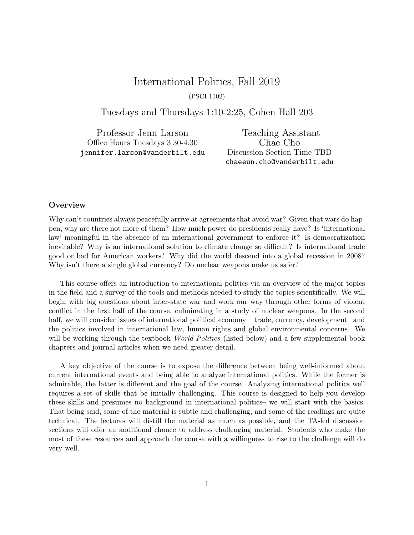# International Politics, Fall 2019 (PSCI 1102)

Tuesdays and Thursdays 1:10-2:25, Cohen Hall 203

Professor Jenn Larson Office Hours Tuesdays 3:30-4:30 jennifer.larson@vanderbilt.edu

Teaching Assistant Chae Cho Discussion Section Time TBD chaeeun.cho@vanderbilt.edu

### **Overview**

Why can't countries always peacefully arrive at agreements that avoid war? Given that wars do happen, why are there not more of them? How much power do presidents really have? Is 'international law' meaningful in the absence of an international government to enforce it? Is democratization inevitable? Why is an international solution to climate change so difficult? Is international trade good or bad for American workers? Why did the world descend into a global recession in 2008? Why isn't there a single global currency? Do nuclear weapons make us safer?

This course offers an introduction to international politics via an overview of the major topics in the field and a survey of the tools and methods needed to study the topics scientifically. We will begin with big questions about inter-state war and work our way through other forms of violent conflict in the first half of the course, culminating in a study of nuclear weapons. In the second half, we will consider issues of international political economy – trade, currency, development– and the politics involved in international law, human rights and global environmental concerns. We will be working through the textbook *World Politics* (listed below) and a few supplemental book chapters and journal articles when we need greater detail.

A key objective of the course is to expose the difference between being well-informed about current international events and being able to analyze international politics. While the former is admirable, the latter is different and the goal of the course. Analyzing international politics well requires a set of skills that be initially challenging. This course is designed to help you develop these skills and presumes no background in international politics– we will start with the basics. That being said, some of the material is subtle and challenging, and some of the readings are quite technical. The lectures will distill the material as much as possible, and the TA-led discussion sections will offer an additional chance to address challenging material. Students who make the most of these resources and approach the course with a willingness to rise to the challenge will do very well.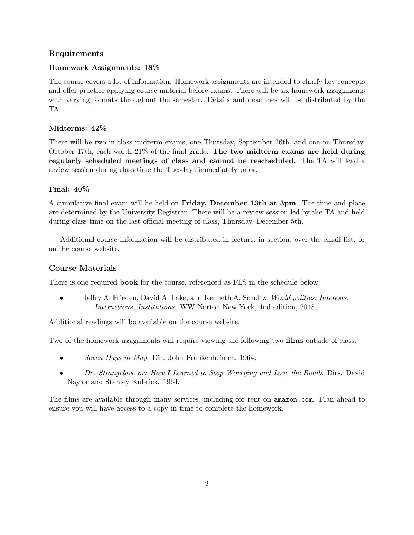# Requirements

### Homework Assignments: 18%

The course covers a lot of information. Homework assignments are intended to clarify key concepts and offer practice applying course material before exams. There will be six homework assignments with varying formats throughout the semester. Details and deadlines will be distributed by the TA.

### Midterms: 42%

There will be two in-class midterm exams, one Thursday, September 26th, and one on Thursday, October 17th, each worth 21% of the final grade. The two midterm exams are held during regularly scheduled meetings of class and cannot be rescheduled. The TA will lead a review session during class time the Tuesdays immediately prior.

### Final: 40%

A cumulative final exam will be held on Friday, December 13th at 3pm. The time and place are determined by the University Registrar. There will be a review session led by the TA and held during class time on the last official meeting of class, Thursday, December 5th.

Additional course information will be distributed in lecture, in section, over the email list, or on the course website.

# Course Materials

There is one required **book** for the course, referenced as FLS in the schedule below:

• Jeffry A. Frieden, David A. Lake, and Kenneth A. Schultz. World politics: Interests, Interactions, Institutions. WW Norton New York, 4nd edition, 2018.

Additional readings will be available on the course website.

Two of the homework assignments will require viewing the following two **films** outside of class:

- Seven Days in May. Dir. John Frankenheimer. 1964.
- Dr. Strangelove or: How I Learned to Stop Worrying and Love the Bomb. Dirs. David Naylor and Stanley Kubrick. 1964.

The films are available through many services, including for rent on amazon.com. Plan ahead to ensure you will have access to a copy in time to complete the homework.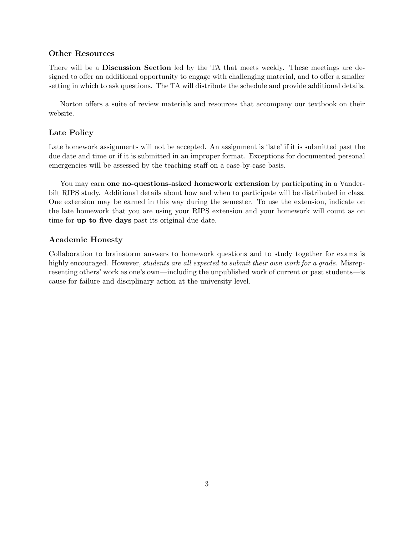# Other Resources

There will be a **Discussion Section** led by the TA that meets weekly. These meetings are designed to offer an additional opportunity to engage with challenging material, and to offer a smaller setting in which to ask questions. The TA will distribute the schedule and provide additional details.

Norton offers a suite of review materials and resources that accompany our textbook on their website.

### Late Policy

Late homework assignments will not be accepted. An assignment is 'late' if it is submitted past the due date and time or if it is submitted in an improper format. Exceptions for documented personal emergencies will be assessed by the teaching staff on a case-by-case basis.

You may earn **one no-questions-asked homework extension** by participating in a Vanderbilt RIPS study. Additional details about how and when to participate will be distributed in class. One extension may be earned in this way during the semester. To use the extension, indicate on the late homework that you are using your RIPS extension and your homework will count as on time for up to five days past its original due date.

### Academic Honesty

Collaboration to brainstorm answers to homework questions and to study together for exams is highly encouraged. However, *students are all expected to submit their own work for a grade*. Misrepresenting others' work as one's own—including the unpublished work of current or past students—is cause for failure and disciplinary action at the university level.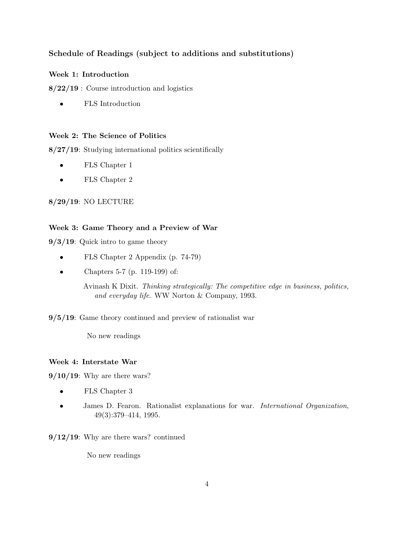# Schedule of Readings (subject to additions and substitutions)

### Week 1: Introduction

8/22/19 : Course introduction and logistics

• FLS Introduction

### Week 2: The Science of Politics

8/27/19: Studying international politics scientifically

- FLS Chapter 1
- FLS Chapter 2

8/29/19: NO LECTURE

### Week 3: Game Theory and a Preview of War

9/3/19: Quick intro to game theory

- FLS Chapter 2 Appendix (p. 74-79)
- Chapters 5-7 (p. 119-199) of:

Avinash K Dixit. Thinking strategically: The competitive edge in business, politics, and everyday life. WW Norton & Company, 1993.

9/5/19: Game theory continued and preview of rationalist war

No new readings

### Week 4: Interstate War

 $9/10/19$ : Why are there wars?

- FLS Chapter 3
- James D. Fearon. Rationalist explanations for war. *International Organization*, 49(3):379–414, 1995.
- $9/12/19$ : Why are there wars? continued

No new readings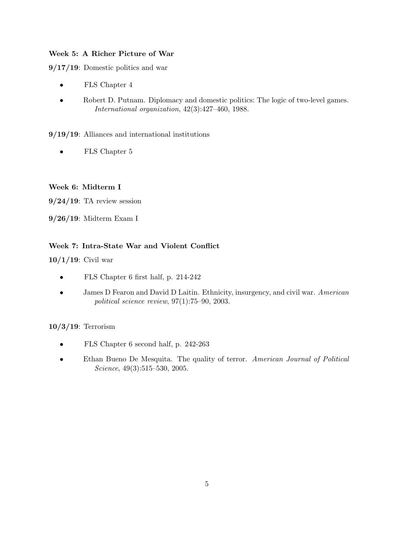# Week 5: A Richer Picture of War

9/17/19: Domestic politics and war

- FLS Chapter 4
- Robert D. Putnam. Diplomacy and domestic politics: The logic of two-level games. International organization, 42(3):427–460, 1988.

9/19/19: Alliances and international institutions

• FLS Chapter 5

# Week 6: Midterm I

 $9/24/19$ : TA review session

9/26/19: Midterm Exam I

# Week 7: Intra-State War and Violent Conflict

 $10/1/19$ : Civil war

- FLS Chapter 6 first half, p. 214-242
- James D Fearon and David D Laitin. Ethnicity, insurgency, and civil war. American political science review, 97(1):75–90, 2003.

# 10/3/19: Terrorism

- FLS Chapter 6 second half, p. 242-263
- Ethan Bueno De Mesquita. The quality of terror. American Journal of Political Science, 49(3):515-530, 2005.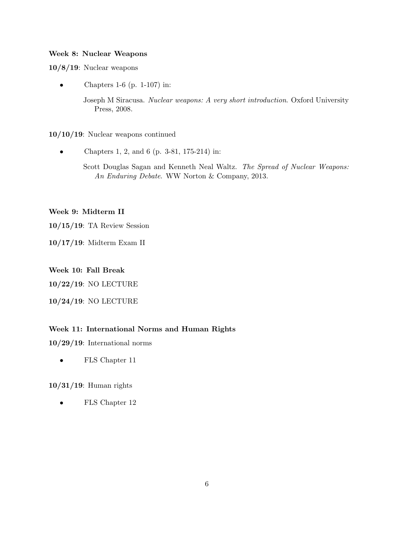#### Week 8: Nuclear Weapons

10/8/19: Nuclear weapons

• Chapters 1-6 (p. 1-107) in:

Joseph M Siracusa. Nuclear weapons: A very short introduction. Oxford University Press, 2008.

10/10/19: Nuclear weapons continued

- Chapters 1, 2, and 6 (p. 3-81, 175-214) in:
	- Scott Douglas Sagan and Kenneth Neal Waltz. The Spread of Nuclear Weapons: An Enduring Debate. WW Norton & Company, 2013.

#### Week 9: Midterm II

10/15/19: TA Review Session

10/17/19: Midterm Exam II

#### Week 10: Fall Break

10/22/19: NO LECTURE

10/24/19: NO LECTURE

### Week 11: International Norms and Human Rights

10/29/19: International norms

• FLS Chapter 11

### 10/31/19: Human rights

• FLS Chapter 12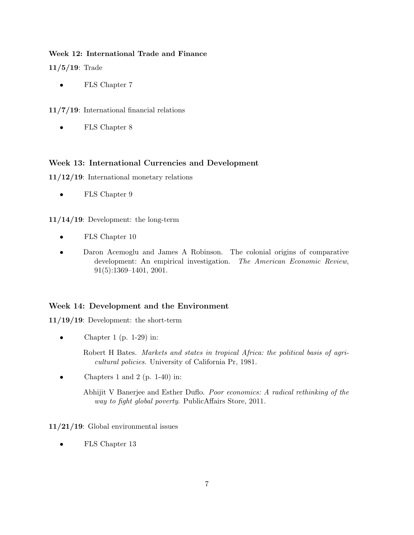### Week 12: International Trade and Finance

11/5/19: Trade

• FLS Chapter 7

11/7/19: International financial relations

• FLS Chapter 8

# Week 13: International Currencies and Development

11/12/19: International monetary relations

• FLS Chapter 9

11/14/19: Development: the long-term

- FLS Chapter 10
- Daron Acemoglu and James A Robinson. The colonial origins of comparative development: An empirical investigation. The American Economic Review, 91(5):1369–1401, 2001.

# Week 14: Development and the Environment

11/19/19: Development: the short-term

Chapter 1 (p.  $1-29$ ) in:

Robert H Bates. Markets and states in tropical Africa: the political basis of agricultural policies. University of California Pr, 1981.

• Chapters 1 and 2 (p. 1-40) in:

Abhijit V Banerjee and Esther Duflo. Poor economics: A radical rethinking of the way to fight global poverty. PublicAffairs Store, 2011.

11/21/19: Global environmental issues

• FLS Chapter 13